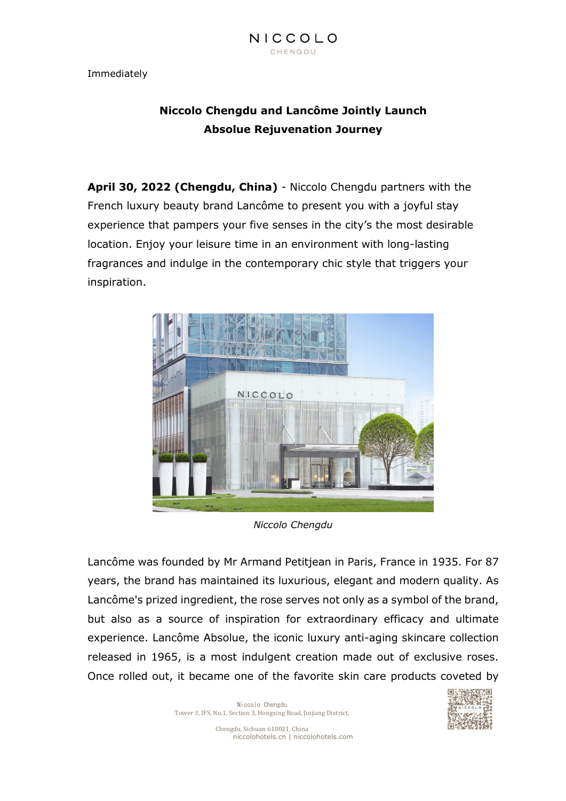Immediately

# **Niccolo Chengdu and Lancôme Jointly Launch Absolue Rejuvenation Journey**

**April 30, 2022 (Chengdu, China)** - Niccolo Chengdu partners with the French luxury beauty brand Lancôme to present you with a joyful stay experience that pampers your five senses in the city's the most desirable location. Enjoy your leisure time in an environment with long-lasting fragrances and indulge in the contemporary chic style that triggers your inspiration.



*Niccolo Chengdu* 

Lancôme was founded by Mr Armand Petitjean in Paris, France in 1935. For 87 years, the brand has maintained its luxurious, elegant and modern quality. As Lancôme's prized ingredient, the rose serves not only as a symbol of the brand, but also as a source of inspiration for extraordinary efficacy and ultimate experience. Lancôme Absolue, the iconic luxury anti-aging skincare collection released in 1965, is a most indulgent creation made out of exclusive roses. Once rolled out, it became one of the favorite skin care products coveted by

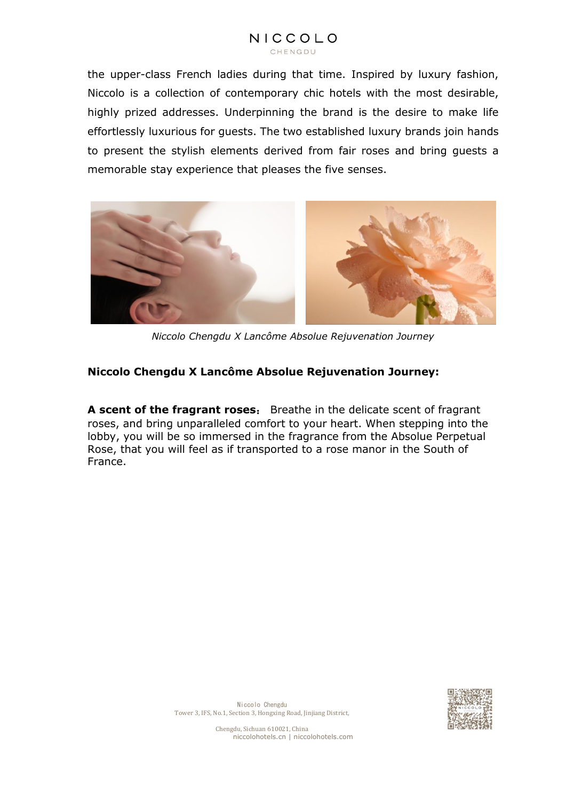the upper-class French ladies during that time. Inspired by luxury fashion, Niccolo is a collection of contemporary chic hotels with the most desirable, highly prized addresses. Underpinning the brand is the desire to make life effortlessly luxurious for guests. The two established luxury brands join hands to present the stylish elements derived from fair roses and bring guests a memorable stay experience that pleases the five senses.



*Niccolo Chengdu X Lancôme Absolue Rejuvenation Journey*

## **Niccolo Chengdu X Lancôme Absolue Rejuvenation Journey:**

**A scent of the fragrant roses**: Breathe in the delicate scent of fragrant roses, and bring unparalleled comfort to your heart. When stepping into the lobby, you will be so immersed in the fragrance from the Absolue Perpetual Rose, that you will feel as if transported to a rose manor in the South of France.

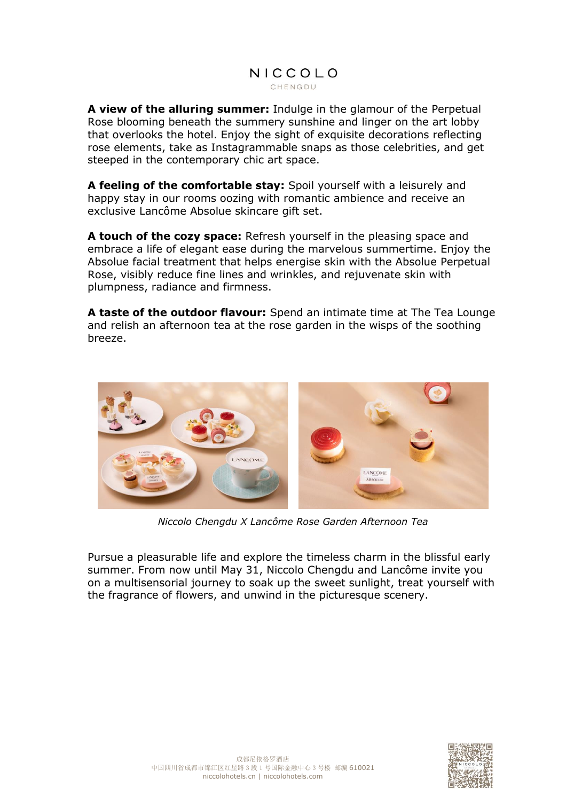**A view of the alluring summer:** Indulge in the glamour of the Perpetual Rose blooming beneath the summery sunshine and linger on the art lobby that overlooks the hotel. Enjoy the sight of exquisite decorations reflecting rose elements, take as Instagrammable snaps as those celebrities, and get steeped in the contemporary chic art space.

**A feeling of the comfortable stay:** Spoil yourself with a leisurely and happy stay in our rooms oozing with romantic ambience and receive an exclusive Lancôme Absolue skincare gift set.

**A touch of the cozy space:** Refresh yourself in the pleasing space and embrace a life of elegant ease during the marvelous summertime. Enjoy the Absolue facial treatment that helps energise skin with the Absolue Perpetual Rose, visibly reduce fine lines and wrinkles, and rejuvenate skin with plumpness, radiance and firmness.

**A taste of the outdoor flavour:** Spend an intimate time at The Tea Lounge and relish an afternoon tea at the rose garden in the wisps of the soothing breeze.



*Niccolo Chengdu X Lancôme Rose Garden Afternoon Tea*

Pursue a pleasurable life and explore the timeless charm in the blissful early summer. From now until May 31, Niccolo Chengdu and Lancôme invite you on a multisensorial journey to soak up the sweet sunlight, treat yourself with the fragrance of flowers, and unwind in the picturesque scenery.

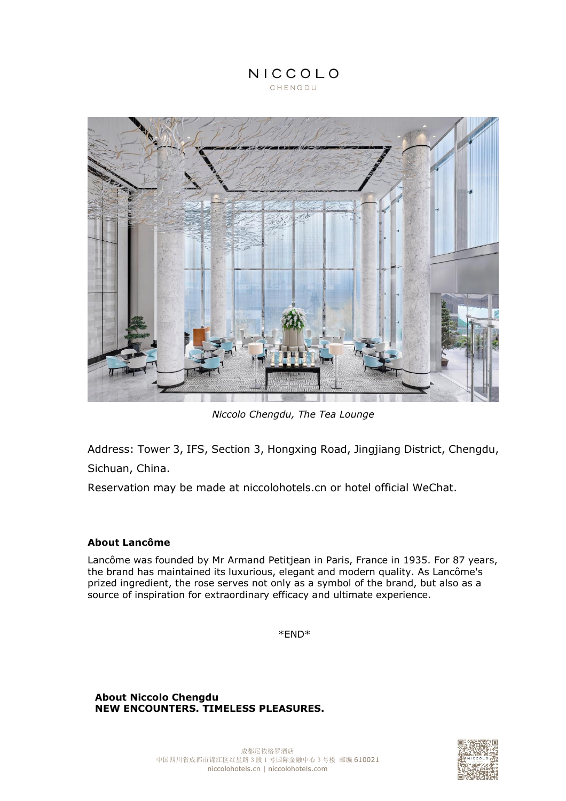

NICCOLO

*Niccolo Chengdu, The Tea Lounge*

Address: Tower 3, IFS, Section 3, Hongxing Road, Jingjiang District, Chengdu, Sichuan, China.

Reservation may be made at niccolohotels.cn or hotel official WeChat.

### **About Lancôme**

Lancôme was founded by Mr Armand Petitjean in Paris, France in 1935. For 87 years, the brand has maintained its luxurious, elegant and modern quality. As Lancôme's prized ingredient, the rose serves not only as a symbol of the brand, but also as a source of inspiration for extraordinary efficacy and ultimate experience.

\*END\*

**About Niccolo Chengdu NEW ENCOUNTERS. TIMELESS PLEASURES.**

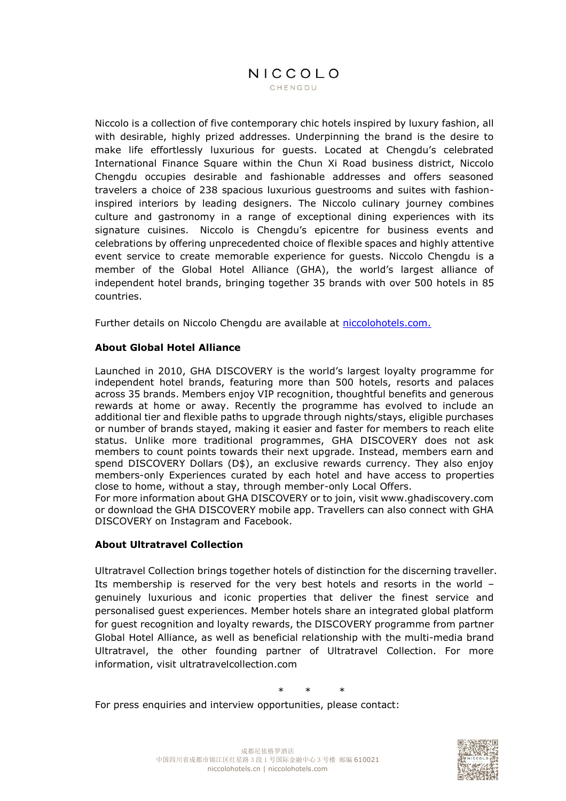Niccolo is a collection of five contemporary chic hotels inspired by luxury fashion, all with desirable, highly prized addresses. Underpinning the brand is the desire to make life effortlessly luxurious for guests. Located at Chengdu's celebrated International Finance Square within the Chun Xi Road business district, Niccolo Chengdu occupies desirable and fashionable addresses and offers seasoned travelers a choice of 238 spacious luxurious guestrooms and suites with fashioninspired interiors by leading designers. The Niccolo culinary journey combines culture and gastronomy in a range of exceptional dining experiences with its signature cuisines. Niccolo is Chengdu's epicentre for business events and celebrations by offering unprecedented choice of flexible spaces and highly attentive event service to create memorable experience for guests. Niccolo Chengdu is a member of the Global Hotel Alliance (GHA), the world's largest alliance of independent hotel brands, bringing together 35 brands with over 500 hotels in 85 countries.

Further details on Niccolo Chengdu are available at [niccolohotels.com.](file:///C:/Users/cora.wu1/Documents/WeChat%20Files/wxid_rye4kf0arha012/FileStorage/File/2022-01/niccolohotels.com)

#### **About Global Hotel Alliance**

Launched in 2010, GHA DISCOVERY is the world's largest loyalty programme for independent hotel brands, featuring more than 500 hotels, resorts and palaces across 35 brands. Members enjoy VIP recognition, thoughtful benefits and generous rewards at home or away. Recently the programme has evolved to include an additional tier and flexible paths to upgrade through nights/stays, eligible purchases or number of brands stayed, making it easier and faster for members to reach elite status. Unlike more traditional programmes, GHA DISCOVERY does not ask members to count points towards their next upgrade. Instead, members earn and spend DISCOVERY Dollars (D\$), an exclusive rewards currency. They also enjoy members-only Experiences curated by each hotel and have access to properties close to home, without a stay, through member-only Local Offers.

For more information about GHA DISCOVERY or to join, visit www.ghadiscovery.com or download the GHA DISCOVERY mobile app. Travellers can also connect with GHA DISCOVERY on Instagram and Facebook.

#### **About Ultratravel Collection**

Ultratravel Collection brings together hotels of distinction for the discerning traveller. Its membership is reserved for the very best hotels and resorts in the world – genuinely luxurious and iconic properties that deliver the finest service and personalised guest experiences. Member hotels share an integrated global platform for guest recognition and loyalty rewards, the DISCOVERY programme from partner Global Hotel Alliance, as well as beneficial relationship with the multi-media brand Ultratravel, the other founding partner of Ultratravel Collection. For more information, visit ultratravelcollection.com

\* \* \*

For press enquiries and interview opportunities, please contact: